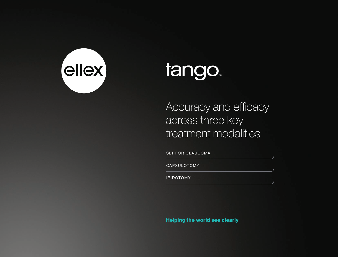

# tango.

Accuracy and efficacy across three key treatment modalities

SLT FOR GLAUCOMA

CAPSULOTOMY

IRIDOTOMY

Helping the world see clearly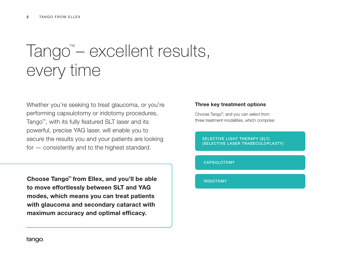# Tango™ – excellent results, every time

Whether you're seeking to treat glaucoma, or you're performing capsulotomy or iridotomy procedures, Tango<sup>™</sup>, with its fully featured SLT laser and its powerful, precise YAG laser, will enable you to secure the results you and your patients are looking for — consistently and to the highest standard.

Choose Tango™ from Ellex, and you'll be able to move effortlessly between SLT and YAG modes, which means you can treat patients with glaucoma and secondary cataract with maximum accuracy and optimal efficacy.

#### Three key treatment options

Choose Tango™, and you can select from three treatment modalities, which comprise:

SELECTIVE LIGHT THERAPY (SLT) (SELECTIVE LASER TRABECULOPLASTY)

CAPSULOTOMY

IRIDOTOMY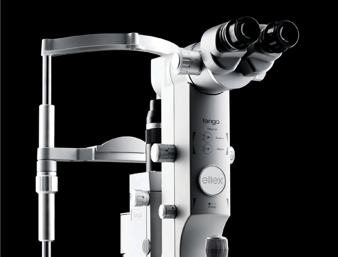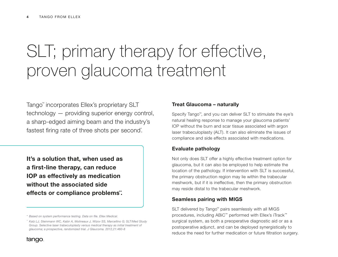# SLT; primary therapy for effective, proven glaucoma treatment

Tango™ incorporates Ellex's proprietary SLT technology — providing superior energy control, a sharp-edged aiming beam and the industry's fastest firing rate of three shots per second\*.

It's a solution that, when used as a first-line therapy, can reduce IOP as effectively as medication without the associated side effects or compliance problems\*\*.

### Treat Glaucoma – naturally

Specify Tango™, and you can deliver SLT to stimulate the eye's natural healing response to manage your glaucoma patients' IOP without the burn and scar tissue associated with argon laser trabeculoplasty (ALT). It can also eliminate the issues of compliance and side effects associated with medications.

### Evaluate pathology

Not only does SLT offer a highly effective treatment option for glaucoma, but it can also be employed to help estimate the location of the pathology. If intervention with SLT is successful, the primary obstruction region may lie within the trabecular meshwork, but if it is ineffective, then the primary obstruction may reside distal to the trabecular meshwork.

### Seamless pairing with MIGS

SLT delivered by Tango<sup>™</sup> pairs seamlessly with all MIGS procedures, including ABiC™ performed with Ellex's iTrack™ surgical system, as both a preoperative diagnostic aid or as a postoperative adjunct, and can be deployed synergistically to reduce the need for further medication or future filtration surgery.

*<sup>\*</sup> Based on system performance testing. Data on file. Ellex Medical.*

*<sup>\*\*</sup> Katz LJ, Steinmann WC, Kabir A, Molineaux J, Wizov SS, Marcellino G; SLT/Med Study Group. Selective laser trabeculoplasty versus medical therapy as initial treatment of glaucoma; a prospective, randomized trial. J Glaucoma. 2012,21:460-8*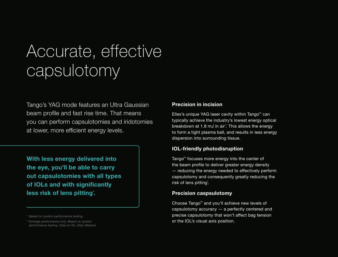# Accurate, effective capsulotomy

Tango's YAG mode features an Ultra Gaussian beam profile and fast rise time. That means you can perform capsulotomies and iridotomies at lower, more efficient energy levels.

With less energy delivered into the eye, you'll be able to carry out capsulotomies with all types of IOLs and with significantly less risk of lens pitting\*.

#### Precision in incision

Ellex's unique YAG laser cavity within Tango™ can typically achieve the industry's lowest energy optical breakdown at 1.8 mJ in air". This allows the energy to form a tight plasma ball, and results in less energy dispersion into surrounding tissue.

#### IOL-friendly photodisruption

Tango™ focuses more energy into the center of the beam profile to deliver greater energy density — reducing the energy needed to effectively perform capsulotomy and consequently greatly reducing the risk of lens pitting<sup>\*</sup>.

#### Precision caspsulotomy

Choose Tango™ and you'll achieve new levels of capsulotomy accuracy — a perfectly centered and precise capsulotomy that won't affect bag tension or the IOL's visual axis position.

*<sup>\*</sup> Based on system performance testing.*

*<sup>\*\*</sup>Average performance only. Based on system performance testing. Data on file. Ellex Medical.*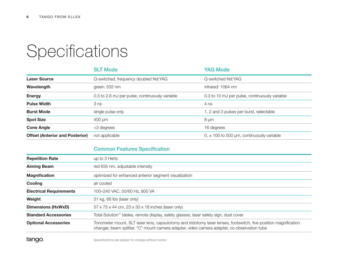# Specifications

|                                        | <b>SLT Mode</b>                                | <b>YAG Mode</b>                               |
|----------------------------------------|------------------------------------------------|-----------------------------------------------|
| <b>Laser Source</b>                    | Q-switched, frequency doubled Nd:YAG           | Q-switched Nd:YAG                             |
| Wavelength                             | green: 532 nm                                  | infrared: 1064 nm                             |
| <b>Energy</b>                          | 0.3 to 2.6 mJ per pulse, continuously variable | 0.3 to 10 mJ per pulse, continuously variable |
| <b>Pulse Width</b>                     | 3 ns                                           | 4 ns                                          |
| <b>Burst Mode</b>                      | single pulse only                              | 1, 2 and 3 pulses per burst, selectable       |
| <b>Spot Size</b>                       | $400 \mu m$                                    | $8 \mu m$                                     |
| <b>Cone Angle</b>                      | <3 degrees                                     | 16 degrees                                    |
| <b>Offset (Anterior and Posterior)</b> | not applicable                                 | 0, $\pm$ 100 to 500 µm, continuously variable |

### Common Features Specification

| <b>Repetition Rate</b>         | up to 3 Hertz                                                                                                                                                                                                   |  |
|--------------------------------|-----------------------------------------------------------------------------------------------------------------------------------------------------------------------------------------------------------------|--|
| <b>Aiming Beam</b>             | red 635 nm, adjustable intensity                                                                                                                                                                                |  |
| <b>Magnification</b>           | optimized for enhanced anterior segment visualization                                                                                                                                                           |  |
| Cooling                        | air cooled                                                                                                                                                                                                      |  |
| <b>Electrical Requirements</b> | 100-240 VAC, 50/60 Hz, 800 VA                                                                                                                                                                                   |  |
| Weight                         | 31 kg, 68 lbs (laser only)                                                                                                                                                                                      |  |
| <b>Dimensions (HxWxD)</b>      | 57 x 75 x 44 cm, 23 x 30 x 18 inches (laser only)                                                                                                                                                               |  |
| <b>Standard Accessories</b>    | Total Solution™ tables, remote display, safety glasses, laser safety sign, dust cover                                                                                                                           |  |
| <b>Optional Accessories</b>    | Tonometer mount, SLT laser lens, capsulotomy and iridotomy laser lenses, footswitch, five-position magnification<br>changer, beam splitter, "C" mount camera adapter, video camera adapter, co-observation tube |  |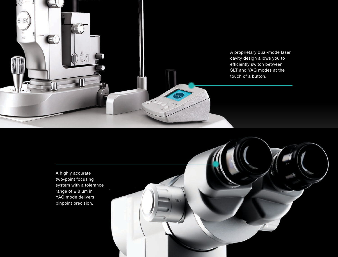A proprietary dual-mode laser cavity design allows you to efficiently switch between SLT and YAG modes at the touch of a button.

A highly accurate two-point focusing system with a tolerance range of  $\pm$  8 μm in YAG mode delivers pinpoint precision.

 $\left( \in \mathfrak{I} \right)$ 

 $\mathbb{F}$ 

 $\Box$ 

ellex

 $\frac{1}{4\pi\epsilon_{\text{in}}}$ 

 $\rightarrow$